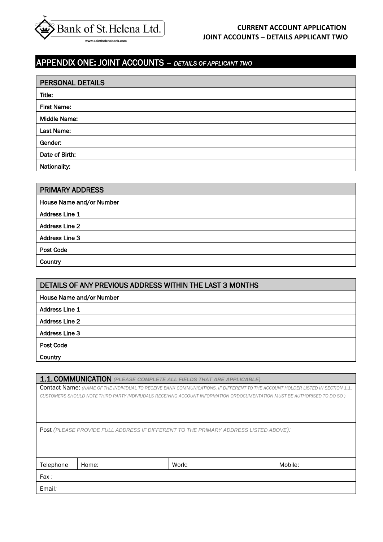

# APPENDIX ONE: JOINT ACCOUNTS *– DETAILS OF APPLICANT TWO*

| <b>PERSONAL DETAILS</b> |  |
|-------------------------|--|
| Title:                  |  |
| <b>First Name:</b>      |  |
| Middle Name:            |  |
| Last Name:              |  |
| Gender:                 |  |
| Date of Birth:          |  |
| Nationality:            |  |

| <b>PRIMARY ADDRESS</b>   |  |
|--------------------------|--|
| House Name and/or Number |  |
| <b>Address Line 1</b>    |  |
| <b>Address Line 2</b>    |  |
| Address Line 3           |  |
| Post Code                |  |
| Country                  |  |

| DETAILS OF ANY PREVIOUS ADDRESS WITHIN THE LAST 3 MONTHS |  |  |
|----------------------------------------------------------|--|--|
| House Name and/or Number                                 |  |  |
| Address Line 1                                           |  |  |
| <b>Address Line 2</b>                                    |  |  |
| <b>Address Line 3</b>                                    |  |  |
| <b>Post Code</b>                                         |  |  |
| Country                                                  |  |  |

1.1.COMMUNICATION *(PLEASE COMPLETE ALL FIELDS THAT ARE APPLICABLE)*

Contact Name: *(NAME OF THE INDIVIDUAL TO RECEIVE BANK COMMUNICATIONS, IF DIFFERENT TO THE ACCOUNT HOLDER LISTED IN SECTION 1.1. CUSTOMERS SHOULD NOTE THIRD PARTY INDIVIUDALS RECEIVING ACCOUNT INFORMATION ORDOCUMENTATION MUST BE AUTHORISED TO DO SO )*

Post *(PLEASE PROVIDE FULL ADDRESS IF DIFFERENT TO THE PRIMARY ADDRESS LISTED ABOVE):*

| Telephone | Home: | Work: | Mobile: |
|-----------|-------|-------|---------|
| Fax:      |       |       |         |
| Email:    |       |       |         |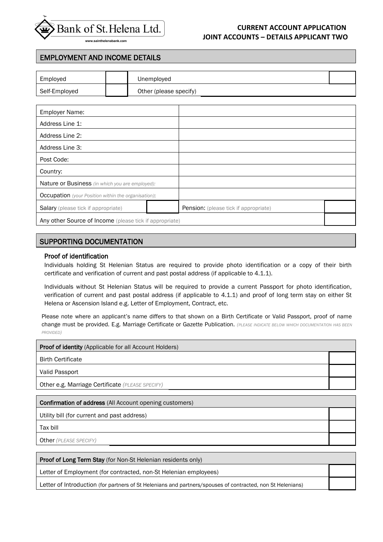

# **CURRENT ACCOUNT APPLICATION JOINT ACCOUNTS – DETAILS APPLICANT TWO**

EMPLOYMENT AND INCOME DETAILS

| Employed                                                   | Unemployed             |                                              |  |
|------------------------------------------------------------|------------------------|----------------------------------------------|--|
| Self-Employed                                              | Other (please specify) |                                              |  |
|                                                            |                        |                                              |  |
| <b>Employer Name:</b>                                      |                        |                                              |  |
| Address Line 1:                                            |                        |                                              |  |
| Address Line 2:                                            |                        |                                              |  |
| Address Line 3:                                            |                        |                                              |  |
| Post Code:                                                 |                        |                                              |  |
| Country:                                                   |                        |                                              |  |
| <b>Nature or Business</b> (in which you are employed):     |                        |                                              |  |
| <b>Occupation</b> (your Position within the organisation): |                        |                                              |  |
| <b>Salary</b> (please tick if appropriate)                 |                        | <b>Pension:</b> (please tick if appropriate) |  |
| Any other Source of Income (please tick if appropriate)    |                        |                                              |  |

## SUPPORTING DOCUMENTATION

#### Proof of identification

Individuals holding St Helenian Status are required to provide photo identification or a copy of their birth certificate and verification of current and past postal address (if applicable to 4.1.1).

Individuals without St Helenian Status will be required to provide a current Passport for photo identification, verification of current and past postal address (if applicable to 4.1.1) and proof of long term stay on either St Helena or Ascension Island e.g. Letter of Employment, Contract, etc.

Please note where an applicant's name differs to that shown on a Birth Certificate or Valid Passport, proof of name change must be provided. E.g. Marriage Certificate or Gazette Publication. *(PLEASE INDICATE BELOW WHICH DOCUMENTATION HAS BEEN PROVIDED)*

| <b>Proof of identity</b> (Applicable for all Account Holders) |  |  |
|---------------------------------------------------------------|--|--|
| <b>Birth Certificate</b>                                      |  |  |
| Valid Passport                                                |  |  |
| Other e.g. Marriage Certificate (PLEASE SPECIFY)              |  |  |
|                                                               |  |  |

Confirmation of address (All Account opening customers)

Utility bill (for current and past address)

Tax bill

Other *(PLEASE SPECIFY)*

| <b>Proof of Long Term Stay</b> (for Non-St Helenian residents only)                                        |  |
|------------------------------------------------------------------------------------------------------------|--|
| Letter of Employment (for contracted, non-St Helenian employees)                                           |  |
| Letter of Introduction (for partners of St Helenians and partners/spouses of contracted, non St Helenians) |  |